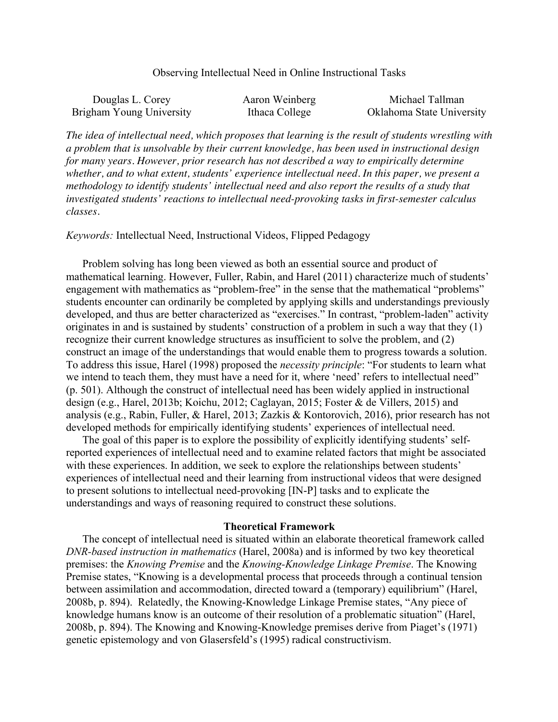## Observing Intellectual Need in Online Instructional Tasks

| Douglas L. Corey         | Aaron Weinberg | Michael Tallman           |
|--------------------------|----------------|---------------------------|
| Brigham Young University | Ithaca College | Oklahoma State University |

*The idea of intellectual need, which proposes that learning is the result of students wrestling with a problem that is unsolvable by their current knowledge, has been used in instructional design for many years. However, prior research has not described a way to empirically determine whether, and to what extent, students' experience intellectual need. In this paper, we present a methodology to identify students' intellectual need and also report the results of a study that investigated students' reactions to intellectual need-provoking tasks in first-semester calculus classes.*

*Keywords:* Intellectual Need, Instructional Videos, Flipped Pedagogy

Problem solving has long been viewed as both an essential source and product of mathematical learning. However, Fuller, Rabin, and Harel (2011) characterize much of students' engagement with mathematics as "problem-free" in the sense that the mathematical "problems" students encounter can ordinarily be completed by applying skills and understandings previously developed, and thus are better characterized as "exercises." In contrast, "problem-laden" activity originates in and is sustained by students' construction of a problem in such a way that they (1) recognize their current knowledge structures as insufficient to solve the problem, and (2) construct an image of the understandings that would enable them to progress towards a solution. To address this issue, Harel (1998) proposed the *necessity principle*: "For students to learn what we intend to teach them, they must have a need for it, where 'need' refers to intellectual need" (p. 501). Although the construct of intellectual need has been widely applied in instructional design (e.g., Harel, 2013b; Koichu, 2012; Caglayan, 2015; Foster & de Villers, 2015) and analysis (e.g., Rabin, Fuller, & Harel, 2013; Zazkis & Kontorovich, 2016), prior research has not developed methods for empirically identifying students' experiences of intellectual need.

The goal of this paper is to explore the possibility of explicitly identifying students' selfreported experiences of intellectual need and to examine related factors that might be associated with these experiences. In addition, we seek to explore the relationships between students' experiences of intellectual need and their learning from instructional videos that were designed to present solutions to intellectual need-provoking [IN-P] tasks and to explicate the understandings and ways of reasoning required to construct these solutions.

### **Theoretical Framework**

The concept of intellectual need is situated within an elaborate theoretical framework called *DNR-based instruction in mathematics* (Harel, 2008a) and is informed by two key theoretical premises: the *Knowing Premise* and the *Knowing-Knowledge Linkage Premise*. The Knowing Premise states, "Knowing is a developmental process that proceeds through a continual tension between assimilation and accommodation, directed toward a (temporary) equilibrium" (Harel, 2008b, p. 894). Relatedly, the Knowing-Knowledge Linkage Premise states, "Any piece of knowledge humans know is an outcome of their resolution of a problematic situation" (Harel, 2008b, p. 894). The Knowing and Knowing-Knowledge premises derive from Piaget's (1971) genetic epistemology and von Glasersfeld's (1995) radical constructivism.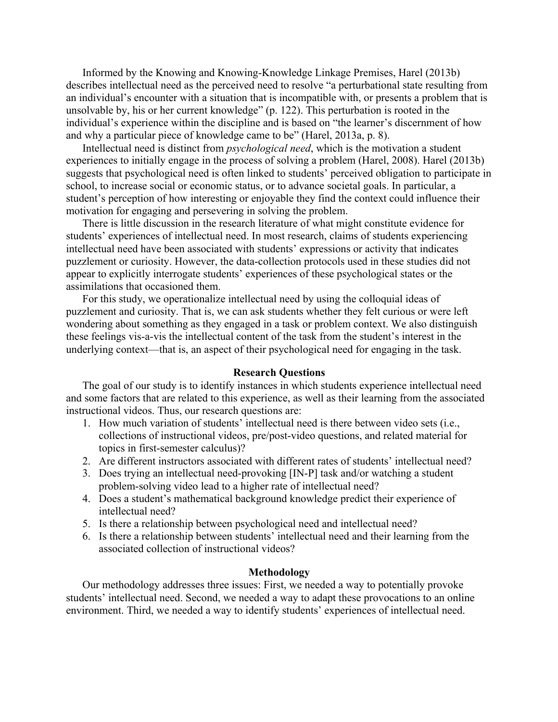Informed by the Knowing and Knowing-Knowledge Linkage Premises, Harel (2013b) describes intellectual need as the perceived need to resolve "a perturbational state resulting from an individual's encounter with a situation that is incompatible with, or presents a problem that is unsolvable by, his or her current knowledge" (p. 122). This perturbation is rooted in the individual's experience within the discipline and is based on "the learner's discernment of how and why a particular piece of knowledge came to be" (Harel, 2013a, p. 8).

Intellectual need is distinct from *psychological need*, which is the motivation a student experiences to initially engage in the process of solving a problem (Harel, 2008). Harel (2013b) suggests that psychological need is often linked to students' perceived obligation to participate in school, to increase social or economic status, or to advance societal goals. In particular, a student's perception of how interesting or enjoyable they find the context could influence their motivation for engaging and persevering in solving the problem.

There is little discussion in the research literature of what might constitute evidence for students' experiences of intellectual need. In most research, claims of students experiencing intellectual need have been associated with students' expressions or activity that indicates puzzlement or curiosity. However, the data-collection protocols used in these studies did not appear to explicitly interrogate students' experiences of these psychological states or the assimilations that occasioned them.

For this study, we operationalize intellectual need by using the colloquial ideas of puzzlement and curiosity. That is, we can ask students whether they felt curious or were left wondering about something as they engaged in a task or problem context. We also distinguish these feelings vis-a-vis the intellectual content of the task from the student's interest in the underlying context—that is, an aspect of their psychological need for engaging in the task.

# **Research Questions**

The goal of our study is to identify instances in which students experience intellectual need and some factors that are related to this experience, as well as their learning from the associated instructional videos. Thus, our research questions are:

- 1. How much variation of students' intellectual need is there between video sets (i.e., collections of instructional videos, pre/post-video questions, and related material for topics in first-semester calculus)?
- 2. Are different instructors associated with different rates of students' intellectual need?
- 3. Does trying an intellectual need-provoking [IN-P] task and/or watching a student problem-solving video lead to a higher rate of intellectual need?
- 4. Does a student's mathematical background knowledge predict their experience of intellectual need?
- 5. Is there a relationship between psychological need and intellectual need?
- 6. Is there a relationship between students' intellectual need and their learning from the associated collection of instructional videos?

### **Methodology**

Our methodology addresses three issues: First, we needed a way to potentially provoke students' intellectual need. Second, we needed a way to adapt these provocations to an online environment. Third, we needed a way to identify students' experiences of intellectual need.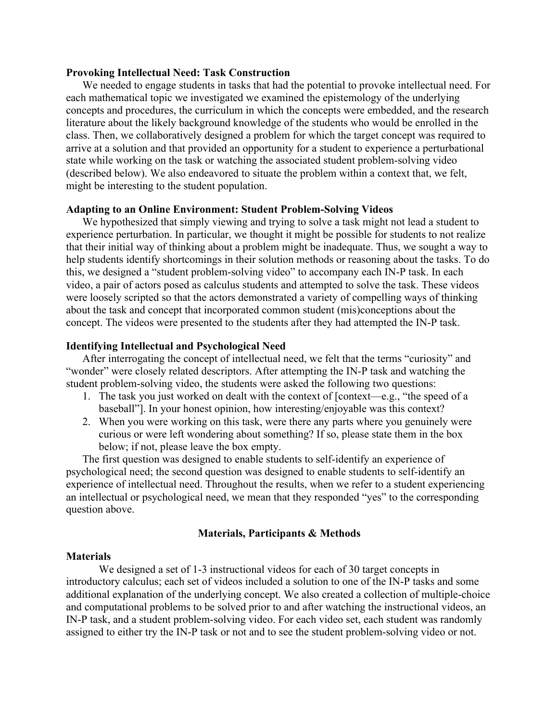## **Provoking Intellectual Need: Task Construction**

We needed to engage students in tasks that had the potential to provoke intellectual need. For each mathematical topic we investigated we examined the epistemology of the underlying concepts and procedures, the curriculum in which the concepts were embedded, and the research literature about the likely background knowledge of the students who would be enrolled in the class. Then, we collaboratively designed a problem for which the target concept was required to arrive at a solution and that provided an opportunity for a student to experience a perturbational state while working on the task or watching the associated student problem-solving video (described below). We also endeavored to situate the problem within a context that, we felt, might be interesting to the student population.

### **Adapting to an Online Environment: Student Problem-Solving Videos**

We hypothesized that simply viewing and trying to solve a task might not lead a student to experience perturbation. In particular, we thought it might be possible for students to not realize that their initial way of thinking about a problem might be inadequate. Thus, we sought a way to help students identify shortcomings in their solution methods or reasoning about the tasks. To do this, we designed a "student problem-solving video" to accompany each IN-P task. In each video, a pair of actors posed as calculus students and attempted to solve the task. These videos were loosely scripted so that the actors demonstrated a variety of compelling ways of thinking about the task and concept that incorporated common student (mis)conceptions about the concept. The videos were presented to the students after they had attempted the IN-P task.

# **Identifying Intellectual and Psychological Need**

After interrogating the concept of intellectual need, we felt that the terms "curiosity" and "wonder" were closely related descriptors. After attempting the IN-P task and watching the student problem-solving video, the students were asked the following two questions:

- 1. The task you just worked on dealt with the context of [context—e.g., "the speed of a baseball"]. In your honest opinion, how interesting/enjoyable was this context?
- 2. When you were working on this task, were there any parts where you genuinely were curious or were left wondering about something? If so, please state them in the box below; if not, please leave the box empty.

The first question was designed to enable students to self-identify an experience of psychological need; the second question was designed to enable students to self-identify an experience of intellectual need. Throughout the results, when we refer to a student experiencing an intellectual or psychological need, we mean that they responded "yes" to the corresponding question above.

# **Materials, Participants & Methods**

## **Materials**

We designed a set of 1-3 instructional videos for each of 30 target concepts in introductory calculus; each set of videos included a solution to one of the IN-P tasks and some additional explanation of the underlying concept. We also created a collection of multiple-choice and computational problems to be solved prior to and after watching the instructional videos, an IN-P task, and a student problem-solving video. For each video set, each student was randomly assigned to either try the IN-P task or not and to see the student problem-solving video or not.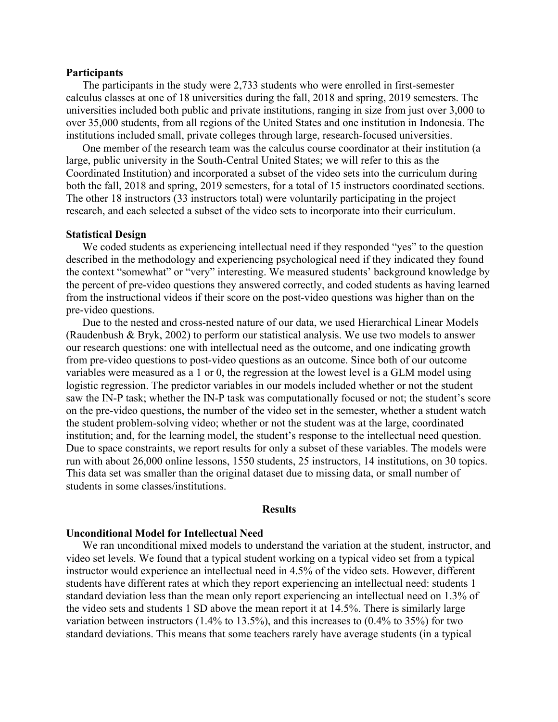#### **Participants**

The participants in the study were 2,733 students who were enrolled in first-semester calculus classes at one of 18 universities during the fall, 2018 and spring, 2019 semesters. The universities included both public and private institutions, ranging in size from just over 3,000 to over 35,000 students, from all regions of the United States and one institution in Indonesia. The institutions included small, private colleges through large, research-focused universities.

One member of the research team was the calculus course coordinator at their institution (a large, public university in the South-Central United States; we will refer to this as the Coordinated Institution) and incorporated a subset of the video sets into the curriculum during both the fall, 2018 and spring, 2019 semesters, for a total of 15 instructors coordinated sections. The other 18 instructors (33 instructors total) were voluntarily participating in the project research, and each selected a subset of the video sets to incorporate into their curriculum.

#### **Statistical Design**

We coded students as experiencing intellectual need if they responded "yes" to the question described in the methodology and experiencing psychological need if they indicated they found the context "somewhat" or "very" interesting. We measured students' background knowledge by the percent of pre-video questions they answered correctly, and coded students as having learned from the instructional videos if their score on the post-video questions was higher than on the pre-video questions.

Due to the nested and cross-nested nature of our data, we used Hierarchical Linear Models (Raudenbush & Bryk, 2002) to perform our statistical analysis. We use two models to answer our research questions: one with intellectual need as the outcome, and one indicating growth from pre-video questions to post-video questions as an outcome. Since both of our outcome variables were measured as a 1 or 0, the regression at the lowest level is a GLM model using logistic regression. The predictor variables in our models included whether or not the student saw the IN-P task; whether the IN-P task was computationally focused or not; the student's score on the pre-video questions, the number of the video set in the semester, whether a student watch the student problem-solving video; whether or not the student was at the large, coordinated institution; and, for the learning model, the student's response to the intellectual need question. Due to space constraints, we report results for only a subset of these variables. The models were run with about 26,000 online lessons, 1550 students, 25 instructors, 14 institutions, on 30 topics. This data set was smaller than the original dataset due to missing data, or small number of students in some classes/institutions.

#### **Results**

## **Unconditional Model for Intellectual Need**

We ran unconditional mixed models to understand the variation at the student, instructor, and video set levels. We found that a typical student working on a typical video set from a typical instructor would experience an intellectual need in 4.5% of the video sets. However, different students have different rates at which they report experiencing an intellectual need: students 1 standard deviation less than the mean only report experiencing an intellectual need on 1.3% of the video sets and students 1 SD above the mean report it at 14.5%. There is similarly large variation between instructors (1.4% to 13.5%), and this increases to (0.4% to 35%) for two standard deviations. This means that some teachers rarely have average students (in a typical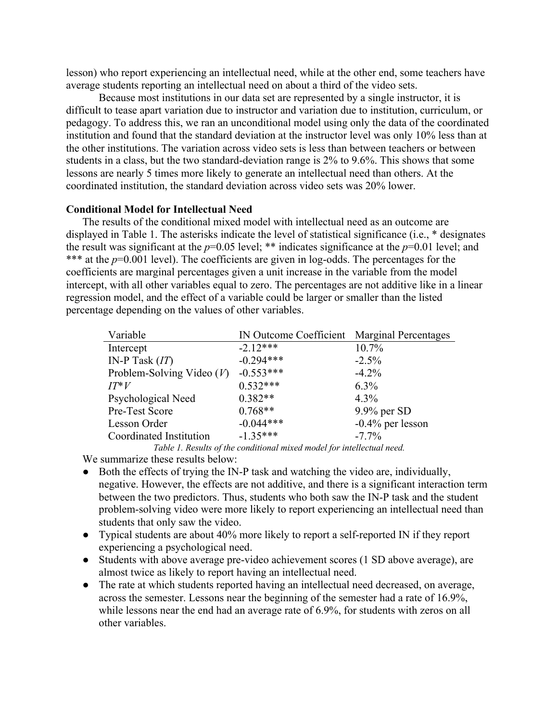lesson) who report experiencing an intellectual need, while at the other end, some teachers have average students reporting an intellectual need on about a third of the video sets.

Because most institutions in our data set are represented by a single instructor, it is difficult to tease apart variation due to instructor and variation due to institution, curriculum, or pedagogy. To address this, we ran an unconditional model using only the data of the coordinated institution and found that the standard deviation at the instructor level was only 10% less than at the other institutions. The variation across video sets is less than between teachers or between students in a class, but the two standard-deviation range is 2% to 9.6%. This shows that some lessons are nearly 5 times more likely to generate an intellectual need than others. At the coordinated institution, the standard deviation across video sets was 20% lower.

# **Conditional Model for Intellectual Need**

The results of the conditional mixed model with intellectual need as an outcome are displayed in Table 1. The asterisks indicate the level of statistical significance (i.e., \* designates the result was significant at the  $p=0.05$  level; \*\* indicates significance at the  $p=0.01$  level; and \*\*\* at the  $p=0.001$  level). The coefficients are given in log-odds. The percentages for the coefficients are marginal percentages given a unit increase in the variable from the model intercept, with all other variables equal to zero. The percentages are not additive like in a linear regression model, and the effect of a variable could be larger or smaller than the listed percentage depending on the values of other variables.

| Variable                    | IN Outcome Coefficient Marginal Percentages |                     |
|-----------------------------|---------------------------------------------|---------------------|
| Intercept                   | $-2.12***$                                  | 10.7%               |
| IN-P Task $(IT)$            | $-0.294***$                                 | $-2.5\%$            |
| Problem-Solving Video $(V)$ | $-0.553***$                                 | $-4.2\%$            |
| $IT^*V$                     | $0.532***$                                  | $6.3\%$             |
| Psychological Need          | $0.382**$                                   | 4.3%                |
| Pre-Test Score              | $0.768**$                                   | $9.9\%$ per SD      |
| Lesson Order                | $-0.044***$                                 | $-0.4\%$ per lesson |
| Coordinated Institution     | $-1.35***$                                  | $-7.7\%$            |

*Table 1. Results of the conditional mixed model for intellectual need.* We summarize these results below:

- Both the effects of trying the IN-P task and watching the video are, individually, negative. However, the effects are not additive, and there is a significant interaction term between the two predictors. Thus, students who both saw the IN-P task and the student problem-solving video were more likely to report experiencing an intellectual need than students that only saw the video.
- Typical students are about 40% more likely to report a self-reported IN if they report experiencing a psychological need.
- Students with above average pre-video achievement scores (1 SD above average), are almost twice as likely to report having an intellectual need.
- The rate at which students reported having an intellectual need decreased, on average, across the semester. Lessons near the beginning of the semester had a rate of 16.9%, while lessons near the end had an average rate of 6.9%, for students with zeros on all other variables.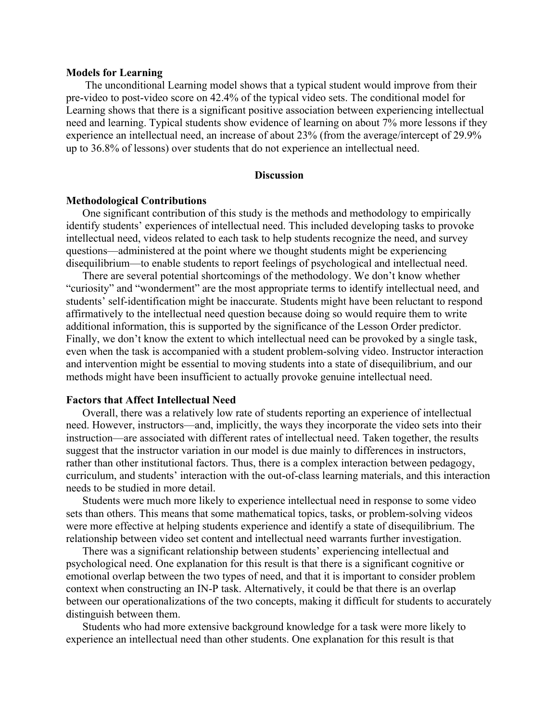#### **Models for Learning**

The unconditional Learning model shows that a typical student would improve from their pre-video to post-video score on 42.4% of the typical video sets. The conditional model for Learning shows that there is a significant positive association between experiencing intellectual need and learning. Typical students show evidence of learning on about 7% more lessons if they experience an intellectual need, an increase of about 23% (from the average/intercept of 29.9% up to 36.8% of lessons) over students that do not experience an intellectual need.

# **Discussion**

## **Methodological Contributions**

One significant contribution of this study is the methods and methodology to empirically identify students' experiences of intellectual need. This included developing tasks to provoke intellectual need, videos related to each task to help students recognize the need, and survey questions—administered at the point where we thought students might be experiencing disequilibrium—to enable students to report feelings of psychological and intellectual need.

There are several potential shortcomings of the methodology. We don't know whether "curiosity" and "wonderment" are the most appropriate terms to identify intellectual need, and students' self-identification might be inaccurate. Students might have been reluctant to respond affirmatively to the intellectual need question because doing so would require them to write additional information, this is supported by the significance of the Lesson Order predictor. Finally, we don't know the extent to which intellectual need can be provoked by a single task, even when the task is accompanied with a student problem-solving video. Instructor interaction and intervention might be essential to moving students into a state of disequilibrium, and our methods might have been insufficient to actually provoke genuine intellectual need.

#### **Factors that Affect Intellectual Need**

Overall, there was a relatively low rate of students reporting an experience of intellectual need. However, instructors—and, implicitly, the ways they incorporate the video sets into their instruction—are associated with different rates of intellectual need. Taken together, the results suggest that the instructor variation in our model is due mainly to differences in instructors, rather than other institutional factors. Thus, there is a complex interaction between pedagogy, curriculum, and students' interaction with the out-of-class learning materials, and this interaction needs to be studied in more detail.

Students were much more likely to experience intellectual need in response to some video sets than others. This means that some mathematical topics, tasks, or problem-solving videos were more effective at helping students experience and identify a state of disequilibrium. The relationship between video set content and intellectual need warrants further investigation.

There was a significant relationship between students' experiencing intellectual and psychological need. One explanation for this result is that there is a significant cognitive or emotional overlap between the two types of need, and that it is important to consider problem context when constructing an IN-P task. Alternatively, it could be that there is an overlap between our operationalizations of the two concepts, making it difficult for students to accurately distinguish between them.

Students who had more extensive background knowledge for a task were more likely to experience an intellectual need than other students. One explanation for this result is that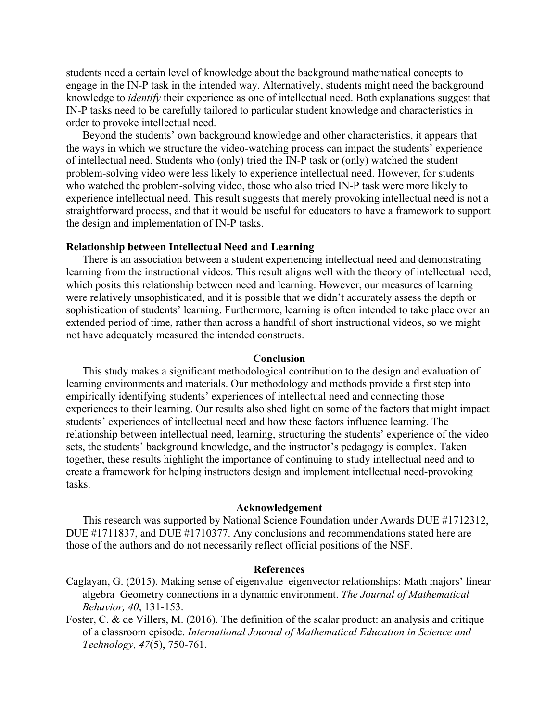students need a certain level of knowledge about the background mathematical concepts to engage in the IN-P task in the intended way. Alternatively, students might need the background knowledge to *identify* their experience as one of intellectual need. Both explanations suggest that IN-P tasks need to be carefully tailored to particular student knowledge and characteristics in order to provoke intellectual need.

Beyond the students' own background knowledge and other characteristics, it appears that the ways in which we structure the video-watching process can impact the students' experience of intellectual need. Students who (only) tried the IN-P task or (only) watched the student problem-solving video were less likely to experience intellectual need. However, for students who watched the problem-solving video, those who also tried IN-P task were more likely to experience intellectual need. This result suggests that merely provoking intellectual need is not a straightforward process, and that it would be useful for educators to have a framework to support the design and implementation of IN-P tasks.

# **Relationship between Intellectual Need and Learning**

There is an association between a student experiencing intellectual need and demonstrating learning from the instructional videos. This result aligns well with the theory of intellectual need, which posits this relationship between need and learning. However, our measures of learning were relatively unsophisticated, and it is possible that we didn't accurately assess the depth or sophistication of students' learning. Furthermore, learning is often intended to take place over an extended period of time, rather than across a handful of short instructional videos, so we might not have adequately measured the intended constructs.

#### **Conclusion**

This study makes a significant methodological contribution to the design and evaluation of learning environments and materials. Our methodology and methods provide a first step into empirically identifying students' experiences of intellectual need and connecting those experiences to their learning. Our results also shed light on some of the factors that might impact students' experiences of intellectual need and how these factors influence learning. The relationship between intellectual need, learning, structuring the students' experience of the video sets, the students' background knowledge, and the instructor's pedagogy is complex. Taken together, these results highlight the importance of continuing to study intellectual need and to create a framework for helping instructors design and implement intellectual need-provoking tasks.

#### **Acknowledgement**

This research was supported by National Science Foundation under Awards DUE #1712312, DUE #1711837, and DUE #1710377. Any conclusions and recommendations stated here are those of the authors and do not necessarily reflect official positions of the NSF.

### **References**

- Caglayan, G. (2015). Making sense of eigenvalue–eigenvector relationships: Math majors' linear algebra–Geometry connections in a dynamic environment. *The Journal of Mathematical Behavior, 40*, 131-153.
- Foster, C. & de Villers, M. (2016). The definition of the scalar product: an analysis and critique of a classroom episode. *International Journal of Mathematical Education in Science and Technology, 47*(5), 750-761.